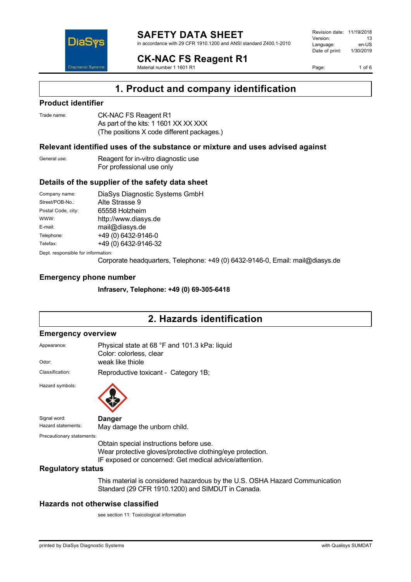

#### **SAFETY DATA SHEET** in accordance with 29 CFR 1910.1200 and ANSI standard Z400.1-2010

**CK-NAC FS Reagent R1**

Material number 1 1601 R1

Revision date: 11/19/2018 Version: 13<br>Language: en-LIS Language: en-US<br>Date of print: 1/30/2019  $Date$  of print:

Page: 1 of 6

## **1. Product and company identification**

## **Product identifier**

| Trade name: | CK-NAC FS Reagent R1                       |
|-------------|--------------------------------------------|
|             | As part of the kits: 1 1601 XX XX XXX      |
|             | (The positions X code different packages.) |

## **Relevant identified uses of the substance or mixture and uses advised against**

| General use: | Reagent for in-vitro diagnostic use |  |
|--------------|-------------------------------------|--|
|              | For professional use only           |  |

## **Details of the supplier of the safety data sheet**

| Company name:                      | DiaSys Diagnostic Systems GmbH |  |
|------------------------------------|--------------------------------|--|
| Street/POB-No.:                    | Alte Strasse 9                 |  |
| Postal Code, city:                 | 65558 Holzheim                 |  |
| WWW:                               | http://www.diasys.de           |  |
| E-mail:                            | mail@diasys.de                 |  |
| Telephone:                         | +49 (0) 6432-9146-0            |  |
| Telefax:                           | +49 (0) 6432-9146-32           |  |
| Dept. responsible for information: |                                |  |

Corporate headquarters, Telephone: +49 (0) 6432-9146-0, Email: mail@diasys.de

## **Emergency phone number**

**Infraserv, Telephone: +49 (0) 69-305-6418**

# **2. Hazards identification**

#### **Emergency overview**

| Appearance:               | Physical state at 68 °F and 101.3 kPa: liquid<br>Color: colorless, clear                                                         |  |
|---------------------------|----------------------------------------------------------------------------------------------------------------------------------|--|
| Odor:                     | weak like thiole                                                                                                                 |  |
| Classification:           | Reproductive toxicant - Category 1B;                                                                                             |  |
| Hazard symbols:           |                                                                                                                                  |  |
| Signal word:              | <b>Danger</b>                                                                                                                    |  |
| Hazard statements:        | May damage the unborn child.                                                                                                     |  |
| Precautionary statements: |                                                                                                                                  |  |
|                           | Obtain special instructions before use.                                                                                          |  |
|                           | Wear protective gloves/protective clothing/eye protection.<br>IF exposed or concerned: Get medical advice/attention.             |  |
| <b>Regulatory status</b>  |                                                                                                                                  |  |
|                           | This material is considered hazardous by the U.S. OSHA Hazard Communication<br>Standard (29 CFR 1910.1200) and SIMDUT in Canada. |  |

## **Hazards not otherwise classified**

see section 11: Toxicological information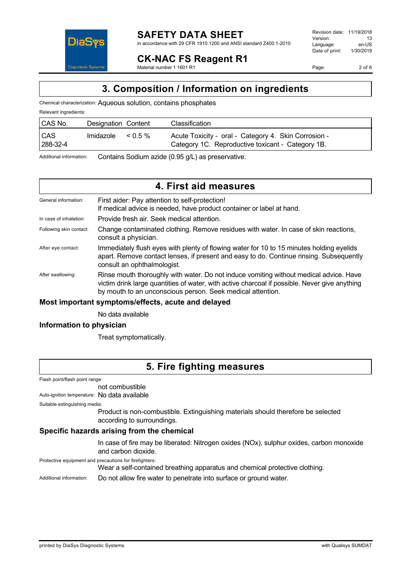

Page: 2 of 6

# **CK-NAC FS Reagent R1**

Material number 1 1601 R1

# **3. Composition / Information on ingredients**

Chemical characterization: Aqueous solution, contains phosphates

| Relevant ingredients:  |                     |         |                                                                                                           |
|------------------------|---------------------|---------|-----------------------------------------------------------------------------------------------------------|
| CAS No.                | Designation Content |         | Classification                                                                                            |
| <b>CAS</b><br>288-32-4 | Imidazole           | $0.5\%$ | Acute Toxicity - oral - Category 4. Skin Corrosion -<br>Category 1C. Reproductive toxicant - Category 1B. |

Additional information: Contains Sodium azide (0.95 g/L) as preservative.

# **4. First aid measures**

| General information:    | First aider: Pay attention to self-protection!<br>If medical advice is needed, have product container or label at hand.                                                                                                                               |
|-------------------------|-------------------------------------------------------------------------------------------------------------------------------------------------------------------------------------------------------------------------------------------------------|
| In case of inhalation:  | Provide fresh air. Seek medical attention.                                                                                                                                                                                                            |
| Following skin contact: | Change contaminated clothing. Remove residues with water. In case of skin reactions,<br>consult a physician.                                                                                                                                          |
| After eye contact:      | Immediately flush eyes with plenty of flowing water for 10 to 15 minutes holding eyelids<br>apart. Remove contact lenses, if present and easy to do. Continue rinsing. Subsequently<br>consult an ophthalmologist.                                    |
| After swallowing:       | Rinse mouth thoroughly with water. Do not induce vomiting without medical advice. Have<br>victim drink large quantities of water, with active charcoal if possible. Never give anything<br>by mouth to an unconscious person. Seek medical attention. |

## **Most important symptoms/effects, acute and delayed**

No data available

## **Information to physician**

Treat symptomatically.

# **5. Fire fighting measures**

Flash point/flash point range:

not combustible

Auto-ignition temperature: No data available

Suitable extinguishing media:

Product is non-combustible. Extinguishing materials should therefore be selected according to surroundings.

## **Specific hazards arising from the chemical**

In case of fire may be liberated: Nitrogen oxides (NOx), sulphur oxides, carbon monoxide and carbon dioxide.

Protective equipment and precautions for firefighters:

Wear a self-contained breathing apparatus and chemical protective clothing.

Additional information: Do not allow fire water to penetrate into surface or ground water.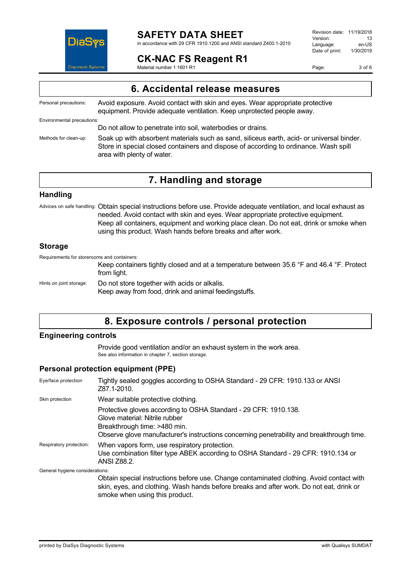

in accordance with 29 CFR 1910.1200 and ANSI standard Z400.1-2010

## **CK-NAC FS Reagent R1**

Material number 1 1601 R1

Revision date: 11/19/2018 Version: 13<br>Language: en-LIS Language: en-US<br>Date of print: 1/30/2019  $Date$  of print:

Page: 3 of 6

| 6. Accidental release measures                                                                                                                                                                                  |
|-----------------------------------------------------------------------------------------------------------------------------------------------------------------------------------------------------------------|
| Avoid exposure. Avoid contact with skin and eyes. Wear appropriate protective<br>equipment. Provide adequate ventilation. Keep unprotected people away.                                                         |
|                                                                                                                                                                                                                 |
| Do not allow to penetrate into soil, waterbodies or drains.                                                                                                                                                     |
| Soak up with absorbent materials such as sand, siliceus earth, acid- or universal binder.<br>Store in special closed containers and dispose of according to ordinance. Wash spill<br>area with plenty of water. |
|                                                                                                                                                                                                                 |

# **7. Handling and storage**

## **Handling**

Advices on safe handling: Obtain special instructions before use. Provide adequate ventilation, and local exhaust as needed. Avoid contact with skin and eyes. Wear appropriate protective equipment. Keep all containers, equipment and working place clean. Do not eat, drink or smoke when using this product. Wash hands before breaks and after work.

## **Storage**

Requirements for storerooms and containers:

Keep containers tightly closed and at a temperature between 35.6 °F and 46.4 °F. Protect from light.

Hints on joint storage: Do not store together with acids or alkalis. Keep away from food, drink and animal feedingstuffs.

## **8. Exposure controls / personal protection**

## **Engineering controls**

Provide good ventilation and/or an exhaust system in the work area. See also information in chapter 7, section storage.

## **Personal protection equipment (PPE)**

| Eye/face protection             | Tightly sealed goggles according to OSHA Standard - 29 CFR: 1910.133 or ANSI<br>Z87.1-2010.                                                                                                                                     |
|---------------------------------|---------------------------------------------------------------------------------------------------------------------------------------------------------------------------------------------------------------------------------|
| Skin protection                 | Wear suitable protective clothing.                                                                                                                                                                                              |
|                                 | Protective gloves according to OSHA Standard - 29 CFR: 1910.138.<br>Glove material: Nitrile rubber<br>Breakthrough time: >480 min.<br>Observe glove manufacturer's instructions concerning penetrability and breakthrough time. |
| Respiratory protection:         | When vapors form, use respiratory protection.<br>Use combination filter type ABEK according to OSHA Standard - 29 CFR: 1910.134 or<br><b>ANSI Z88.2.</b>                                                                        |
| General hygiene considerations: |                                                                                                                                                                                                                                 |
|                                 | Obtain special instructions before use. Change contaminated clothing. Avoid contact with<br>skin, eyes, and clothing. Wash hands before breaks and after work. Do not eat, drink or                                             |

smoke when using this product.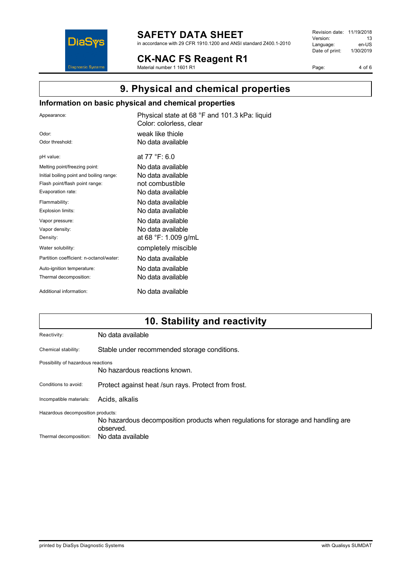

in accordance with 29 CFR 1910.1200 and ANSI standard Z400.1-2010

**CK-NAC FS Reagent R1** Material number 1 1601 R1

Revision date: 11/19/2018 Version: 13<br>
Language: en-US Language: en-US<br>Date of print: 1/30/2019  $Date$  of print:

Page: 4 of 6

# **9. Physical and chemical properties**

## **Information on basic physical and chemical properties**

| Appearance:                              | Physical state at 68 °F and 101.3 kPa: liquid<br>Color: colorless, clear |
|------------------------------------------|--------------------------------------------------------------------------|
| Odor:                                    | weak like thiole                                                         |
| Odor threshold:                          | No data available                                                        |
| pH value:                                | at $77 °F: 6.0$                                                          |
| Melting point/freezing point:            | No data available                                                        |
| Initial boiling point and boiling range: | No data available                                                        |
| Flash point/flash point range:           | not combustible                                                          |
| Evaporation rate:                        | No data available                                                        |
| Flammability:                            | No data available                                                        |
| Explosion limits:                        | No data available                                                        |
| Vapor pressure:                          | No data available                                                        |
| Vapor density:                           | No data available                                                        |
| Density:                                 | at 68 °F: 1.009 g/mL                                                     |
| Water solubility:                        | completely miscible                                                      |
| Partition coefficient: n-octanol/water:  | No data available                                                        |
| Auto-ignition temperature:               | No data available                                                        |
| Thermal decomposition:                   | No data available                                                        |
| Additional information:                  | No data available                                                        |

# **10. Stability and reactivity**

| No data available                                                                                                                                        |  |
|----------------------------------------------------------------------------------------------------------------------------------------------------------|--|
| Stable under recommended storage conditions.                                                                                                             |  |
| Possibility of hazardous reactions<br>No hazardous reactions known.                                                                                      |  |
| Protect against heat /sun rays. Protect from frost.                                                                                                      |  |
| Acids, alkalis                                                                                                                                           |  |
| Hazardous decomposition products:<br>No hazardous decomposition products when regulations for storage and handling are<br>observed.<br>No data available |  |
|                                                                                                                                                          |  |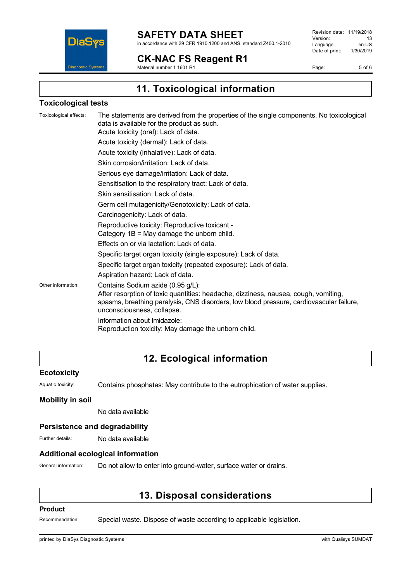

in accordance with 29 CFR 1910.1200 and ANSI standard Z400.1-2010

## **CK-NAC FS Reagent R1**

Material number 1 1601 R1

Revision date: 11/19/2018 Version: 13<br>
Language: en-US Language: en-US<br>Date of print: 1/30/2019  $Date$  of print:

Page: 5 of 6

**11. Toxicological information**

## **Toxicological tests**

| Toxicological effects: | The statements are derived from the properties of the single components. No toxicological<br>data is available for the product as such.<br>Acute toxicity (oral): Lack of data.                                                                   |
|------------------------|---------------------------------------------------------------------------------------------------------------------------------------------------------------------------------------------------------------------------------------------------|
|                        | Acute toxicity (dermal): Lack of data.                                                                                                                                                                                                            |
|                        | Acute toxicity (inhalative): Lack of data.                                                                                                                                                                                                        |
|                        | Skin corrosion/irritation: Lack of data.                                                                                                                                                                                                          |
|                        | Serious eye damage/irritation: Lack of data.                                                                                                                                                                                                      |
|                        | Sensitisation to the respiratory tract: Lack of data.                                                                                                                                                                                             |
|                        | Skin sensitisation: Lack of data.                                                                                                                                                                                                                 |
|                        | Germ cell mutagenicity/Genotoxicity: Lack of data.                                                                                                                                                                                                |
|                        | Carcinogenicity: Lack of data.                                                                                                                                                                                                                    |
|                        | Reproductive toxicity: Reproductive toxicant -<br>Category $1B = May$ damage the unborn child.                                                                                                                                                    |
|                        | Effects on or via lactation: Lack of data.                                                                                                                                                                                                        |
|                        | Specific target organ toxicity (single exposure): Lack of data.                                                                                                                                                                                   |
|                        | Specific target organ toxicity (repeated exposure): Lack of data.                                                                                                                                                                                 |
|                        | Aspiration hazard: Lack of data.                                                                                                                                                                                                                  |
| Other information:     | Contains Sodium azide (0.95 g/L):<br>After resorption of toxic quantities: headache, dizziness, nausea, cough, vomiting,<br>spasms, breathing paralysis, CNS disorders, low blood pressure, cardiovascular failure,<br>unconsciousness, collapse. |
|                        | Information about Imidazole:                                                                                                                                                                                                                      |
|                        | Reproduction toxicity: May damage the unborn child.                                                                                                                                                                                               |

# **12. Ecological information**

## **Ecotoxicity**

Aquatic toxicity: Contains phosphates: May contribute to the eutrophication of water supplies.

## **Mobility in soil**

No data available

## **Persistence and degradability**

Further details: No data available

## **Additional ecological information**

General information: Do not allow to enter into ground-water, surface water or drains.

## **13. Disposal considerations**

#### **Product**

Recommendation: Special waste. Dispose of waste according to applicable legislation.